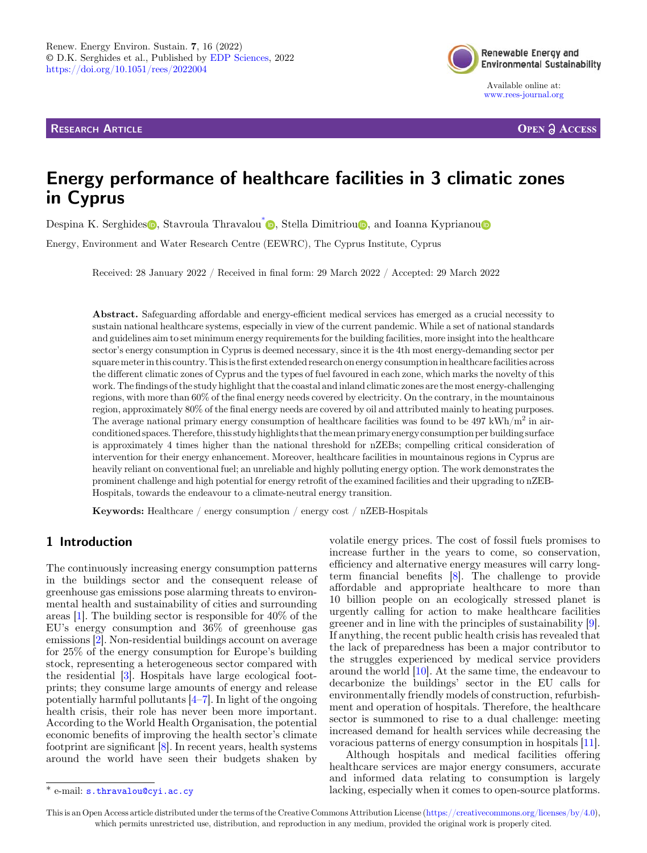RESEARCH ARTICLE



[www.rees-journal.org](https://www.rees-journal.org)

**OPEN A ACCESS** 

# Energy performance of healthcare facilities in 3 climatic zones in Cyprus

De[s](https://orcid.org/0000-0002-4279-8327)pina K. Serghides **n**. Stavroula Thravalou<sup>[\\*](https://orcid.org/0000-0001-6001-0313)</s[u](https://orcid.org/0000-0001-7239-6161)p> **p**. Stella Dimitriou **p**, and Ioanna Kyprianou **p** 

Energy, Environment and Water Research Centre (EEWRC), The Cyprus Institute, Cyprus

Received: 28 January 2022 / Received in final form: 29 March 2022 / Accepted: 29 March 2022

Abstract. Safeguarding affordable and energy-efficient medical services has emerged as a crucial necessity to sustain national healthcare systems, especially in view of the current pandemic. While a set of national standards and guidelines aim to set minimum energy requirements for the building facilities, more insight into the healthcare sector's energy consumption in Cyprus is deemed necessary, since it is the 4th most energy-demanding sector per squaremeterin this country. Thisis thefirst extended research on energy consumptionin healthcare facilities across the different climatic zones of Cyprus and the types of fuel favoured in each zone, which marks the novelty of this work. The findings of the study highlight that the coastal and inland climatic zones are the most energy-challenging regions, with more than 60% of the final energy needs covered by electricity. On the contrary, in the mountainous region, approximately 80% of the final energy needs are covered by oil and attributed mainly to heating purposes. The average national primary energy consumption of healthcare facilities was found to be  $497 \text{ kWh/m}^2$  in airconditioned spaces. Therefore, this study highlights that themean primary energy consumption per building surface is approximately 4 times higher than the national threshold for nZEBs; compelling critical consideration of intervention for their energy enhancement. Moreover, healthcare facilities in mountainous regions in Cyprus are heavily reliant on conventional fuel; an unreliable and highly polluting energy option. The work demonstrates the prominent challenge and high potential for energy retrofit of the examined facilities and their upgrading to nZEB-Hospitals, towards the endeavour to a climate-neutral energy transition.

Keywords: Healthcare / energy consumption / energy cost / nZEB-Hospitals

# 1 Introduction

The continuously increasing energy consumption patterns in the buildings sector and the consequent release of greenhouse gas emissions pose alarming threats to environmental health and sustainability of cities and surrounding areas [\[1](#page-6-0)]. The building sector is responsible for 40% of the EU's energy consumption and 36% of greenhouse gas emissions [[2\]](#page-6-0). Non-residential buildings account on average for 25% of the energy consumption for Europe's building stock, representing a heterogeneous sector compared with the residential [[3\]](#page-6-0). Hospitals have large ecological footprints; they consume large amounts of energy and release potentially harmful pollutants  $[4–7]$  $[4–7]$  $[4–7]$  $[4–7]$ . In light of the ongoing health crisis, their role has never been more important. According to the World Health Organisation, the potential economic benefits of improving the health sector's climate footprint are significant [\[8](#page-6-0)]. In recent years, health systems around the world have seen their budgets shaken by

volatile energy prices. The cost of fossil fuels promises to increase further in the years to come, so conservation, efficiency and alternative energy measures will carry longterm financial benefits [[8\]](#page-6-0). The challenge to provide affordable and appropriate healthcare to more than 10 billion people on an ecologically stressed planet is urgently calling for action to make healthcare facilities greener and in line with the principles of sustainability [\[9](#page-6-0)]. If anything, the recent public health crisis has revealed that the lack of preparedness has been a major contributor to the struggles experienced by medical service providers around the world [[10\]](#page-6-0). At the same time, the endeavour to decarbonize the buildings' sector in the EU calls for environmentally friendly models of construction, refurbishment and operation of hospitals. Therefore, the healthcare sector is summoned to rise to a dual challenge: meeting increased demand for health services while decreasing the voracious patterns of energy consumption in hospitals [\[11](#page-6-0)].

Although hospitals and medical facilities offering healthcare services are major energy consumers, accurate and informed data relating to consumption is largely \* e-mail: [s.thravalou@cyi.ac.cy](mailto:s.thravalou@cyi.ac.cy) lacking, especially when it comes to open-source platforms.

This is an Open Access article distributed under the terms of the Creative Commons Attribution License [\(https://creativecommons.org/licenses/by/4.0\)](https://creativecommons.org/licenses/by/4.0), which permits unrestricted use, distribution, and reproduction in any medium, provided the original work is properly cited.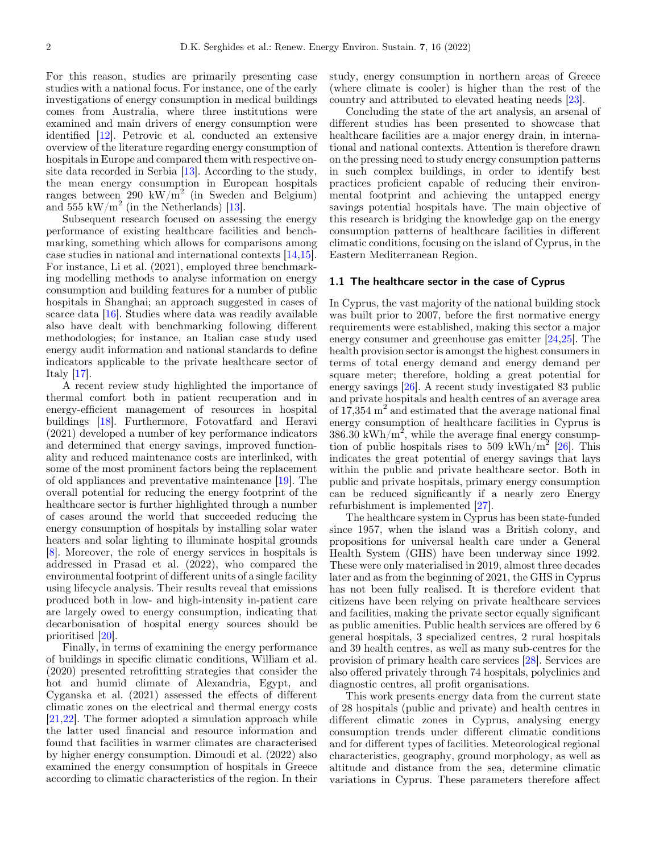For this reason, studies are primarily presenting case studies with a national focus. For instance, one of the early investigations of energy consumption in medical buildings comes from Australia, where three institutions were examined and main drivers of energy consumption were identified [[12](#page-6-0)]. Petrovic et al. conducted an extensive overview of the literature regarding energy consumption of hospitals in Europe and compared them with respective onsite data recorded in Serbia [\[13](#page-6-0)]. According to the study, the mean energy consumption in European hospitals ranges between 290 kW/m<sup>2</sup> (in Sweden and Belgium) and 555 kW/ $m^2$  (in the Netherlands) [[13\]](#page-6-0).

Subsequent research focused on assessing the energy performance of existing healthcare facilities and benchmarking, something which allows for comparisons among case studies in national and international contexts [[14,15](#page-6-0)]. For instance, Li et al. (2021), employed three benchmarking modelling methods to analyse information on energy consumption and building features for a number of public hospitals in Shanghai; an approach suggested in cases of scarce data [\[16\]](#page-6-0). Studies where data was readily available also have dealt with benchmarking following different methodologies; for instance, an Italian case study used energy audit information and national standards to define indicators applicable to the private healthcare sector of Italy [\[17](#page-7-0)].

A recent review study highlighted the importance of thermal comfort both in patient recuperation and in energy-efficient management of resources in hospital buildings [\[18\]](#page-7-0). Furthermore, Fotovatfard and Heravi (2021) developed a number of key performance indicators and determined that energy savings, improved functionality and reduced maintenance costs are interlinked, with some of the most prominent factors being the replacement of old appliances and preventative maintenance [\[19\]](#page-7-0). The overall potential for reducing the energy footprint of the healthcare sector is further highlighted through a number of cases around the world that succeeded reducing the energy consumption of hospitals by installing solar water heaters and solar lighting to illuminate hospital grounds [\[8](#page-6-0)]. Moreover, the role of energy services in hospitals is addressed in Prasad et al. (2022), who compared the environmental footprint of different units of a single facility using lifecycle analysis. Their results reveal that emissions produced both in low- and high-intensity in-patient care are largely owed to energy consumption, indicating that decarbonisation of hospital energy sources should be prioritised [[20\]](#page-7-0).

Finally, in terms of examining the energy performance of buildings in specific climatic conditions, William et al. (2020) presented retrofitting strategies that consider the hot and humid climate of Alexandria, Egypt, and Cyganska et al. (2021) assessed the effects of different climatic zones on the electrical and thermal energy costs [\[21,22\]](#page-7-0). The former adopted a simulation approach while the latter used financial and resource information and found that facilities in warmer climates are characterised by higher energy consumption. Dimoudi et al. (2022) also examined the energy consumption of hospitals in Greece according to climatic characteristics of the region. In their study, energy consumption in northern areas of Greece (where climate is cooler) is higher than the rest of the country and attributed to elevated heating needs [[23](#page-7-0)].

Concluding the state of the art analysis, an arsenal of different studies has been presented to showcase that healthcare facilities are a major energy drain, in international and national contexts. Attention is therefore drawn on the pressing need to study energy consumption patterns in such complex buildings, in order to identify best practices proficient capable of reducing their environmental footprint and achieving the untapped energy savings potential hospitals have. The main objective of this research is bridging the knowledge gap on the energy consumption patterns of healthcare facilities in different climatic conditions, focusing on the island of Cyprus, in the Eastern Mediterranean Region.

#### 1.1 The healthcare sector in the case of Cyprus

In Cyprus, the vast majority of the national building stock was built prior to 2007, before the first normative energy requirements were established, making this sector a major energy consumer and greenhouse gas emitter [\[24](#page-7-0),[25\]](#page-7-0). The health provision sector is amongst the highest consumers in terms of total energy demand and energy demand per square meter; therefore, holding a great potential for energy savings [\[26\]](#page-7-0). A recent study investigated 83 public and private hospitals and health centres of an average area of  $17,354 \text{ m}^2$  and estimated that the average national final energy consumption of healthcare facilities in Cyprus is  $386.30 \text{ kWh/m}^2$ , while the average final energy consump-tion of public hospitals rises to 509 kWh/m<sup>2</sup> [\[26](#page-7-0)]. This indicates the great potential of energy savings that lays within the public and private healthcare sector. Both in public and private hospitals, primary energy consumption can be reduced significantly if a nearly zero Energy refurbishment is implemented [\[27](#page-7-0)].

The healthcare system in Cyprus has been state-funded since 1957, when the island was a British colony, and propositions for universal health care under a General Health System (GHS) have been underway since 1992. These were only materialised in 2019, almost three decades later and as from the beginning of 2021, the GHS in Cyprus has not been fully realised. It is therefore evident that citizens have been relying on private healthcare services and facilities, making the private sector equally significant as public amenities. Public health services are offered by 6 general hospitals, 3 specialized centres, 2 rural hospitals and 39 health centres, as well as many sub-centres for the provision of primary health care services [[28\]](#page-7-0). Services are also offered privately through 74 hospitals, polyclinics and diagnostic centres, all profit organisations.

This work presents energy data from the current state of 28 hospitals (public and private) and health centres in different climatic zones in Cyprus, analysing energy consumption trends under different climatic conditions and for different types of facilities. Meteorological regional characteristics, geography, ground morphology, as well as altitude and distance from the sea, determine climatic variations in Cyprus. These parameters therefore affect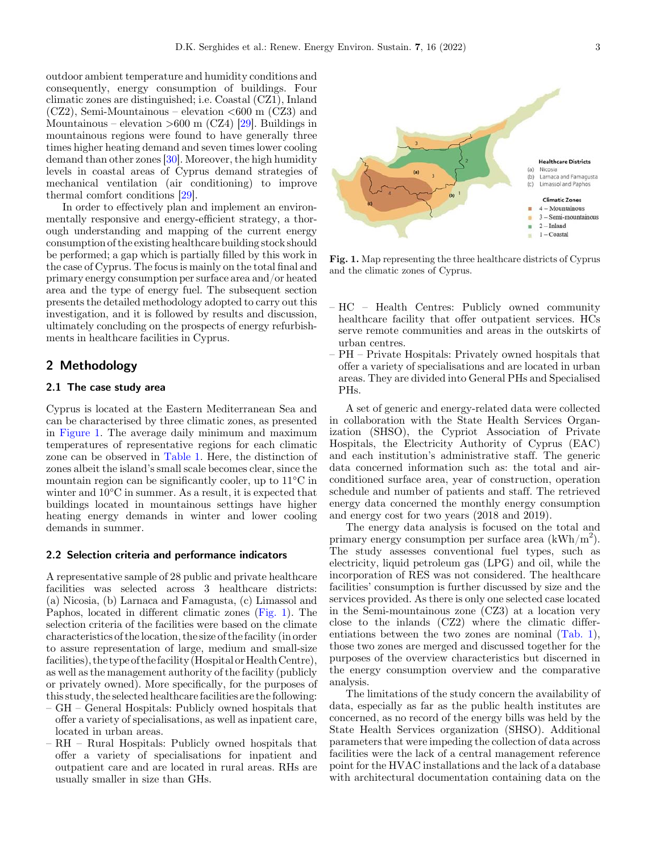<span id="page-2-0"></span>outdoor ambient temperature and humidity conditions and consequently, energy consumption of buildings. Four climatic zones are distinguished; i.e. Coastal (CZ1), Inland  $(CZ2)$ , Semi-Mountainous – elevation  $\lt 600$  m  $(CZ3)$  and Mountainous – elevation  $>600$  m (CZ4) [\[29](#page-7-0)]. Buildings in mountainous regions were found to have generally three times higher heating demand and seven times lower cooling demand than other zones [\[30\]](#page-7-0). Moreover, the high humidity levels in coastal areas of Cyprus demand strategies of mechanical ventilation (air conditioning) to improve thermal comfort conditions [[29\]](#page-7-0).

In order to effectively plan and implement an environmentally responsive and energy-efficient strategy, a thorough understanding and mapping of the current energy consumption of the existing healthcare building stock should be performed; a gap which is partially filled by this work in the case of Cyprus. The focus is mainly on the total final and primary energy consumption per surface area and/or heated area and the type of energy fuel. The subsequent section presents the detailed methodology adopted to carry out this investigation, and it is followed by results and discussion, ultimately concluding on the prospects of energy refurbishments in healthcare facilities in Cyprus.

## 2 Methodology

### 2.1 The case study area

Cyprus is located at the Eastern Mediterranean Sea and can be characterised by three climatic zones, as presented in Figure 1. The average daily minimum and maximum temperatures of representative regions for each climatic zone can be observed in [Table 1](#page-3-0). Here, the distinction of zones albeit the island's small scale becomes clear, since the mountain region can be significantly cooler, up to 11°C in winter and 10°C in summer. As a result, it is expected that buildings located in mountainous settings have higher heating energy demands in winter and lower cooling demands in summer.

#### 2.2 Selection criteria and performance indicators

A representative sample of 28 public and private healthcare facilities was selected across 3 healthcare districts: (a) Nicosia, (b) Larnaca and Famagusta, (c) Limassol and Paphos, located in different climatic zones (Fig. 1). The selection criteria of the facilities were based on the climate characteristics of the location, the size of the facility (in order to assure representation of large, medium and small-size facilities), the type of the facility (Hospital or Health Centre), as well as the management authority of the facility (publicly or privately owned). More specifically, for the purposes of this study, the selected healthcare facilities are the following:

- GH General Hospitals: Publicly owned hospitals that offer a variety of specialisations, as well as inpatient care, located in urban areas.
- RH Rural Hospitals: Publicly owned hospitals that offer a variety of specialisations for inpatient and outpatient care and are located in rural areas. RHs are usually smaller in size than GHs.



Fig. 1. Map representing the three healthcare districts of Cyprus and the climatic zones of Cyprus.

- HC Health Centres: Publicly owned community healthcare facility that offer outpatient services. HCs serve remote communities and areas in the outskirts of urban centres.
- PH Private Hospitals: Privately owned hospitals that offer a variety of specialisations and are located in urban areas. They are divided into General PHs and Specialised PHs.

A set of generic and energy-related data were collected in collaboration with the State Health Services Organization (SHSO), the Cypriot Association of Private Hospitals, the Electricity Authority of Cyprus (EAC) and each institution's administrative staff. The generic data concerned information such as: the total and airconditioned surface area, year of construction, operation schedule and number of patients and staff. The retrieved energy data concerned the monthly energy consumption and energy cost for two years (2018 and 2019).

The energy data analysis is focused on the total and primary energy consumption per surface area  $(kWh/m^2)$ . The study assesses conventional fuel types, such as electricity, liquid petroleum gas (LPG) and oil, while the incorporation of RES was not considered. The healthcare facilities' consumption is further discussed by size and the services provided. As there is only one selected case located in the Semi-mountainous zone (CZ3) at a location very close to the inlands (CZ2) where the climatic differentiations between the two zones are nominal [\(Tab. 1](#page-3-0)), those two zones are merged and discussed together for the purposes of the overview characteristics but discerned in the energy consumption overview and the comparative analysis.

The limitations of the study concern the availability of data, especially as far as the public health institutes are concerned, as no record of the energy bills was held by the State Health Services organization (SHSO). Additional parameters that were impeding the collection of data across facilities were the lack of a central management reference point for the HVAC installations and the lack of a database with architectural documentation containing data on the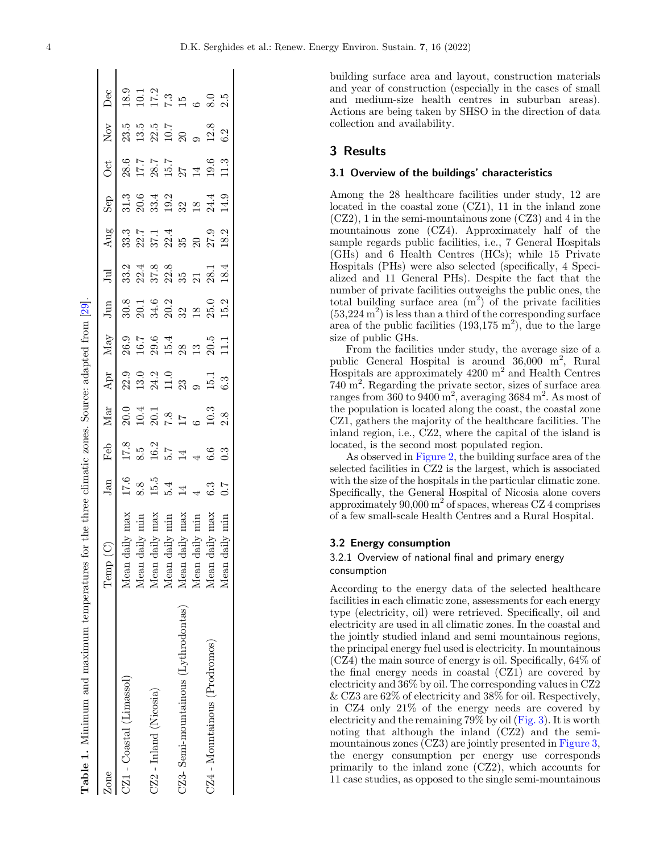building surface area and layout, construction materials and year of construction (especially in the cases of small and medium-size health centres in suburban areas). Actions are being taken by SHSO in the direction of data collection and availability.

## 3 Results

#### 3.1 Overview of the buildings' characteristics

Among the 28 healthcare facilities under study, 12 are located in the coastal zone (CZ1), 11 in the inland zone (CZ2), 1 in the semi-mountainous zone (CZ3) and 4 in the mountainous zone (CZ4). Approximately half of the sample regards public facilities, i.e., 7 General Hospitals (GHs) and 6 Health Centres (HCs); while 15 Private Hospitals (PHs) were also selected (specifically, 4 Specialized and 11 General PHs). Despite the fact that the number of private facilities outweighs the public ones, the total building surface area  $(m^2)$  of the private facilities  $(53,224 \text{ m}^2)$  is less than a third of the corresponding surface area of the public facilities  $(193,175 \text{ m}^2)$ , due to the large size of public GHs.

From the facilities under study, the average size of a public General Hospital is around  $36,000 \text{ m}^2$ , Rural Hospitals are approximately 4200 m<sup>2</sup> and Health Centres 740 m2 . Regarding the private sector, sizes of surface area ranges from 360 to 9400 m<sup>2</sup>, averaging 3684 m<sup>2</sup>. As most of the population is located along the coast, the coastal zone CZ1, gathers the majority of the healthcare facilities. The inland region, i.e., CZ2, where the capital of the island is located, is the second most populated region.

As observed in [Figure 2,](#page-4-0) the building surface area of the selected facilities in CZ2 is the largest, which is associated with the size of the hospitals in the particular climatic zone. Specifically, the General Hospital of Nicosia alone covers approximately  $90,000 \text{ m}^2$  of spaces, whereas CZ 4 comprises of a few small-scale Health Centres and a Rural Hospital.

#### 3.2 Energy consumption

## 3.2.1 Overview of national final and primary energy consumption

According to the energy data of the selected healthcare facilities in each climatic zone, assessments for each energy type (electricity, oil) were retrieved. Specifically, oil and electricity are used in all climatic zones. In the coastal and the jointly studied inland and semi mountainous regions, the principal energy fuel used is electricity. In mountainous (CZ4) the main source of energy is oil. Specifically, 64% of the final energy needs in coastal (CZ1) are covered by electricity and 36% by oil. The corresponding values in CZ2 & CZ3 are 62% of electricity and 38% for oil. Respectively, in CZ4 only 21% of the energy needs are covered by electricity and the remaining 79% by oil ([Fig. 3\)](#page-4-0). It is worth noting that although the inland (CZ2) and the semi-mountainous zones (CZ3) are jointly presented in [Figure 3,](#page-2-0) the energy consumption per energy use corresponds primarily to the inland zone (CZ2), which accounts for 11 case studies, as opposed to the single semi-mountainous

Table 1. Minimum and maximum temperatures for the three climatic zones. Source: adapted from [[29\]](#page-7-0). Table 1. Minimum and maximum temperatures for the three climatic zones. Source: adapted from [29]

<span id="page-3-0"></span>

| Zone                                    | Temp                                   | Jan             | Feb               | Mar                                        | $\rm Apr$                                  | Max                                          | Jum | $\Xi$                                    | Aug                           | $\frac{d}{dS}$ | Öct                                 | $\rm Nov$                                  | Dec                                                        |
|-----------------------------------------|----------------------------------------|-----------------|-------------------|--------------------------------------------|--------------------------------------------|----------------------------------------------|-----|------------------------------------------|-------------------------------|----------------|-------------------------------------|--------------------------------------------|------------------------------------------------------------|
| CZ1 - Coastal (Limassol)                | max<br>$Mean$ .                        | $17.6\,$        | 17.8              |                                            |                                            |                                              |     |                                          | 33.3                          | 31.3           | 28.6                                | 23.5                                       | 18.9                                                       |
|                                         | laily<br>Jean                          | 8.8             | 8.5               |                                            |                                            |                                              |     |                                          |                               |                |                                     |                                            |                                                            |
| $\operatorname{CZ2}$ - Inland (Nicosia) | $\mathrm{d} \mathrm{aily}$ .<br>Mean   |                 | $16.2$ $5.7$ $14$ | $20.1$<br>$10.4$<br>$7.8$<br>$17$          | $23.0$<br>$23.10$<br>$24.10$<br>$25.2$     |                                              |     |                                          |                               |                | $17.7$<br>$28.7$<br>$29.7$<br>$214$ | $13.5$<br>$23.5$<br>$10.7$<br>$20$         |                                                            |
|                                         | min<br>$\operatorname{tail}$ .<br>Mean | $15.5$<br>$5.4$ |                   |                                            |                                            |                                              |     |                                          |                               |                |                                     |                                            |                                                            |
| CZ3-Semi-mountainous (Lythrodontas)     | $Mean$ .                               | $\overline{14}$ |                   |                                            |                                            |                                              |     |                                          |                               |                |                                     |                                            |                                                            |
|                                         | $\dot{m}$<br>Mean                      |                 |                   |                                            |                                            |                                              |     |                                          |                               |                |                                     |                                            |                                                            |
| CZ4 - Mountainous (Prodromos)           | Mean                                   | 6.3             | 6.6               | $\begin{array}{c} 10.3 \\ 2.8 \end{array}$ | $\begin{array}{c} 15.1 \\ 6.3 \end{array}$ | 0.<br>0.0.0.4<br>0.0.0.0.0.1<br>0.0.0.0.1111 |     | 3<br>33 53 53 53 63 74<br>30 53 53 63 74 | 22.14<br>23.24<br>25.25.27.27 |                | $19.6$<br>11.3                      | $\begin{array}{c} 12.8 \\ 6.2 \end{array}$ | $10.1$<br>$17.3$<br>$7.3$<br>$15$<br>$6$<br>$8.0$<br>$2.5$ |
|                                         | Mean                                   | 7.0             | 0.3               |                                            |                                            |                                              |     |                                          |                               |                |                                     |                                            |                                                            |
|                                         |                                        |                 |                   |                                            |                                            |                                              |     |                                          |                               |                |                                     |                                            |                                                            |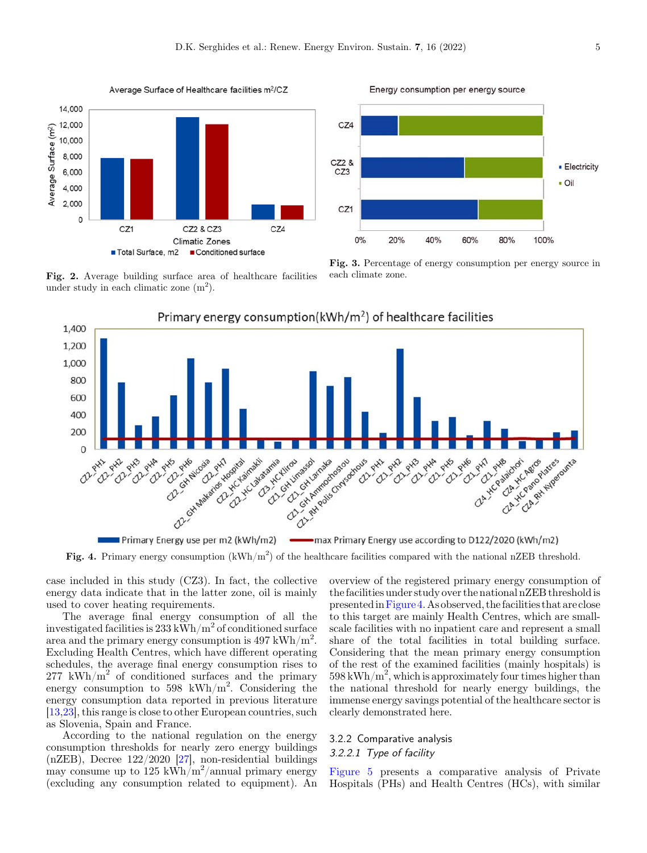Average Surface of Healthcare facilities m<sup>2</sup>/CZ

<span id="page-4-0"></span>

Fig. 2. Average building surface area of healthcare facilities under study in each climatic zone  $(m<sup>2</sup>)$ .



Fig. 3. Percentage of energy consumption per energy source in each climate zone.



Fig. 4. Primary energy consumption ( $kWh/m^2$ ) of the healthcare facilities compared with the national nZEB threshold.

case included in this study (CZ3). In fact, the collective energy data indicate that in the latter zone, oil is mainly used to cover heating requirements.

The average final energy consumption of all the investigated facilities is  $233 \text{ kWh/m}^2$  of conditioned surface area and the primary energy consumption is  $497 \text{ kWh/m}^2$ . Excluding Health Centres, which have different operating schedules, the average final energy consumption rises to  $277 \text{ kWh/m}^2$  of conditioned surfaces and the primary energy consumption to 598 kWh/m<sup>2</sup>. Considering the energy consumption data reported in previous literature [\[13](#page-6-0)[,23\]](#page-7-0), this range is close to other European countries, such as Slovenia, Spain and France.

According to the national regulation on the energy consumption thresholds for nearly zero energy buildings  $(nZEB)$ , Decree 122/2020 [\[27](#page-7-0)], non-residential buildings may consume up to 125 kWh/m<sup>2</sup>/annual primary energy (excluding any consumption related to equipment). An overview of the registered primary energy consumption of the facilities under study over the national nZEB threshold is presentedinFigure 4. As observed, the facilities that are close to this target are mainly Health Centres, which are smallscale facilities with no inpatient care and represent a small share of the total facilities in total building surface. Considering that the mean primary energy consumption of the rest of the examined facilities (mainly hospitals) is  $598 \text{ kWh/m}^2$ , which is approximately four times higher than the national threshold for nearly energy buildings, the immense energy savings potential of the healthcare sector is clearly demonstrated here.

## 3.2.2 Comparative analysis 3.2.2.1 Type of facility

[Figure 5](#page-5-0) presents a comparative analysis of Private Hospitals (PHs) and Health Centres (HCs), with similar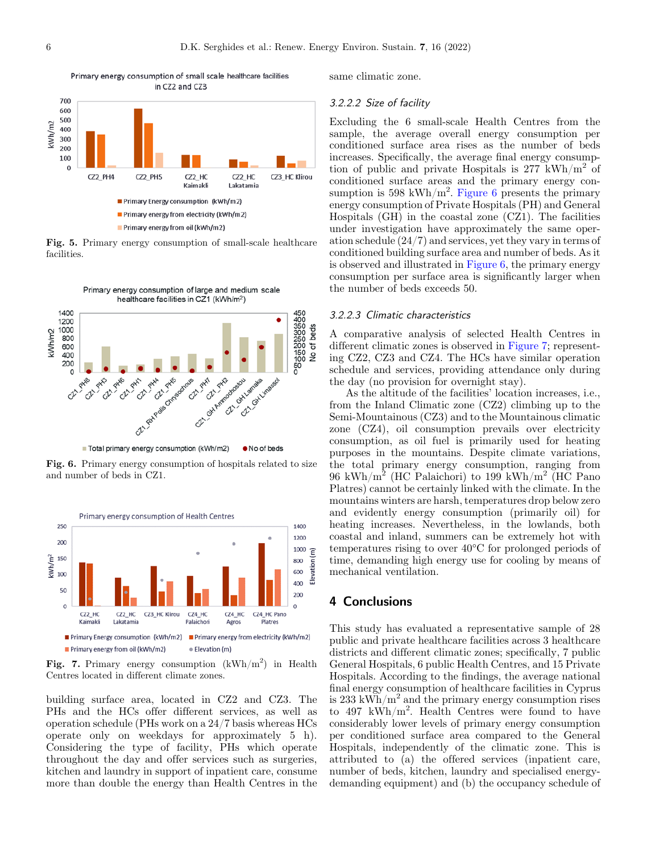<span id="page-5-0"></span>

Primary energy consumption of small scale healthcare facilities

Fig. 5. Primary energy consumption of small-scale healthcare facilities.



Total primary energy consumption (kWh/m2) • No of beds

Fig. 6. Primary energy consumption of hospitals related to size and number of beds in CZ1.



Fig. 7. Primary energy consumption  $(kWh/m^2)$  in Health Centres located in different climate zones.

building surface area, located in CZ2 and CZ3. The PHs and the HCs offer different services, as well as operation schedule (PHs work on a 24/7 basis whereas HCs operate only on weekdays for approximately 5 h). Considering the type of facility, PHs which operate throughout the day and offer services such as surgeries, kitchen and laundry in support of inpatient care, consume more than double the energy than Health Centres in the same climatic zone.

#### 3.2.2.2 Size of facility

Excluding the 6 small-scale Health Centres from the sample, the average overall energy consumption per conditioned surface area rises as the number of beds increases. Specifically, the average final energy consumption of public and private Hospitals is 277 kWh/ $m<sup>2</sup>$  of conditioned surface areas and the primary energy consumption is 598 kWh/m<sup>2</sup>. Figure 6 presents the primary energy consumption of Private Hospitals (PH) and General Hospitals (GH) in the coastal zone (CZ1). The facilities under investigation have approximately the same operation schedule (24/7) and services, yet they vary in terms of conditioned building surface area and number of beds. As it is observed and illustrated in [Figure 6](#page-2-0), the primary energy consumption per surface area is significantly larger when the number of beds exceeds 50.

#### 3.2.2.3 Climatic characteristics

A comparative analysis of selected Health Centres in different climatic zones is observed in Figure 7; representing CZ2, CZ3 and CZ4. The HCs have similar operation schedule and services, providing attendance only during the day (no provision for overnight stay).

As the altitude of the facilities' location increases, i.e., from the Inland Climatic zone (CZ2) climbing up to the Semi-Mountainous (CZ3) and to the Mountainous climatic zone (CZ4), oil consumption prevails over electricity consumption, as oil fuel is primarily used for heating purposes in the mountains. Despite climate variations, the total primary energy consumption, ranging from 96 kWh/m<sup>2</sup> (HC Palaichori) to 199 kWh/m<sup>2</sup> (HC Pano Platres) cannot be certainly linked with the climate. In the mountains winters are harsh, temperatures drop below zero and evidently energy consumption (primarily oil) for heating increases. Nevertheless, in the lowlands, both coastal and inland, summers can be extremely hot with temperatures rising to over 40°C for prolonged periods of time, demanding high energy use for cooling by means of mechanical ventilation.

## 4 Conclusions

This study has evaluated a representative sample of 28 public and private healthcare facilities across 3 healthcare districts and different climatic zones; specifically, 7 public General Hospitals, 6 public Health Centres, and 15 Private Hospitals. According to the findings, the average national final energy consumption of healthcare facilities in Cyprus is 233 kWh/ $m^2$  and the primary energy consumption rises to 497 kWh/m<sup>2</sup> . Health Centres were found to have considerably lower levels of primary energy consumption per conditioned surface area compared to the General Hospitals, independently of the climatic zone. This is attributed to (a) the offered services (inpatient care, number of beds, kitchen, laundry and specialised energydemanding equipment) and (b) the occupancy schedule of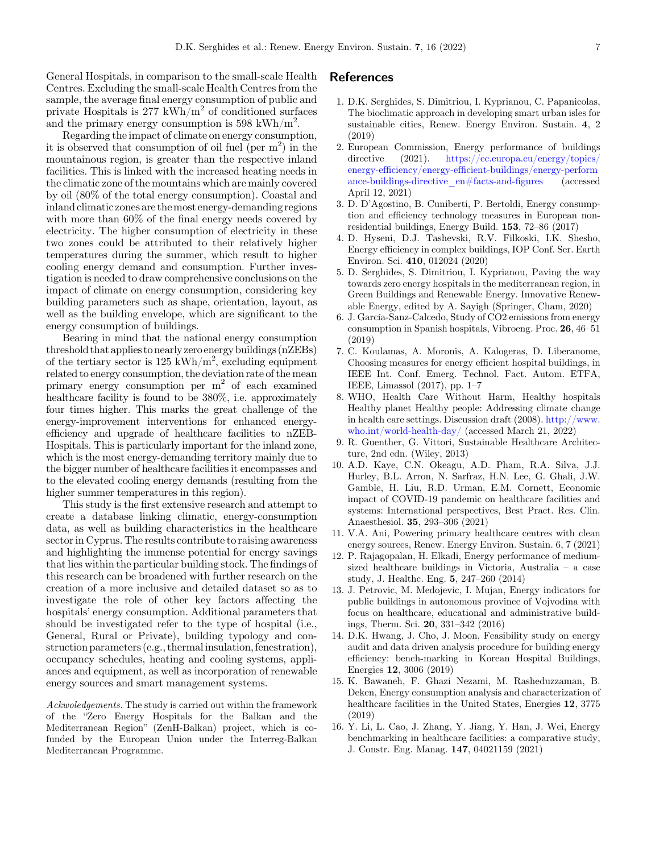<span id="page-6-0"></span>General Hospitals, in comparison to the small-scale Health Centres. Excluding the small-scale Health Centres from the sample, the average final energy consumption of public and private Hospitals is  $277 \text{ kWh/m}^2$  of conditioned surfaces and the primary energy consumption is 598 kWh/m<sup>2</sup>.

Regarding the impact of climate on energy consumption, it is observed that consumption of oil fuel (per  $m^2$ ) in the mountainous region, is greater than the respective inland facilities. This is linked with the increased heating needs in the climatic zone of the mountains which are mainly covered by oil (80% of the total energy consumption). Coastal and inland climatic zones are themost energy-demanding regions with more than 60% of the final energy needs covered by electricity. The higher consumption of electricity in these two zones could be attributed to their relatively higher temperatures during the summer, which result to higher cooling energy demand and consumption. Further investigation is needed to draw comprehensive conclusions on the impact of climate on energy consumption, considering key building parameters such as shape, orientation, layout, as well as the building envelope, which are significant to the energy consumption of buildings.

Bearing in mind that the national energy consumption threshold that applies to nearly zero energy buildings (nZEBs) of the tertiary sector is  $125 \text{ kWh/m}^2$ , excluding equipment related to energy consumption, the deviation rate of the mean primary energy consumption per m<sup>2</sup> of each examined healthcare facility is found to be 380%, i.e. approximately four times higher. This marks the great challenge of the energy-improvement interventions for enhanced energyefficiency and upgrade of healthcare facilities to nZEB-Hospitals. This is particularly important for the inland zone, which is the most energy-demanding territory mainly due to the bigger number of healthcare facilities it encompasses and to the elevated cooling energy demands (resulting from the higher summer temperatures in this region).

This study is the first extensive research and attempt to create a database linking climatic, energy-consumption data, as well as building characteristics in the healthcare sector in Cyprus. The results contribute to raising awareness and highlighting the immense potential for energy savings that lies within the particular building stock. The findings of this research can be broadened with further research on the creation of a more inclusive and detailed dataset so as to investigate the role of other key factors affecting the hospitals' energy consumption. Additional parameters that should be investigated refer to the type of hospital (i.e., General, Rural or Private), building typology and construction parameters (e.g., thermalinsulation, fenestration), occupancy schedules, heating and cooling systems, appliances and equipment, as well as incorporation of renewable energy sources and smart management systems.

Ackwoledgements. The study is carried out within the framework of the "Zero Energy Hospitals for the Balkan and the Mediterranean Region" (ZenH-Balkan) project, which is cofunded by the European Union under the Interreg-Balkan Mediterranean Programme.

## References

- 1. D.K. Serghides, S. Dimitriou, I. Kyprianou, C. Papanicolas, The bioclimatic approach in developing smart urban isles for sustainable cities, Renew. Energy Environ. Sustain. 4, 2 (2019)
- 2. European Commission, Energy performance of buildings directive (2021). [https://ec.europa.eu/energy/topics/](https://orcid.org/0000-0002-4279-8327) energy-efficiency/energy-effi[cient-buildings/energy-perform](https://ec.europa.eu/energy/topics/energy-efficiency/energy-efficient-buildings/energy-performance-buildings-directive_en#facts-and-figures) [ance-buildings-directive\\_en#facts-and-](https://ec.europa.eu/energy/topics/energy-efficiency/energy-efficient-buildings/energy-performance-buildings-directive_en#facts-and-figures)figures (accessed April 12, 2021)
- 3. D. D'Agostino, B. Cuniberti, P. Bertoldi, Energy consumption and efficiency technology measures in European nonresidential buildings, Energy Build. 153, 72–86 (2017)
- 4. D. Hyseni, D.J. Tashevski, R.V. Filkoski, I.K. Shesho, Energy efficiency in complex buildings, IOP Conf. Ser. Earth Environ. Sci. 410, 012024 (2020)
- 5. D. Serghides, S. Dimitriou, I. Kyprianou, Paving the way towards zero energy hospitals in the mediterranean region, in Green Buildings and Renewable Energy. Innovative Renewable Energy, edited by A. Sayigh (Springer, Cham, 2020)
- 6. J. García-Sanz-Calcedo, Study of CO2 emissions from energy consumption in Spanish hospitals, Vibroeng. Proc. 26, 46–51 (2019)
- 7. C. Koulamas, A. Moronis, A. Kalogeras, D. Liberanome, Choosing measures for energy efficient hospital buildings, in IEEE Int. Conf. Emerg. Technol. Fact. Autom. ETFA, IEEE, Limassol (2017), pp. 1–7
- 8. WHO, Health Care Without Harm, Healthy hospitals Healthy planet Healthy people: Addressing climate change in health care settings. Discussion draft (2008). [http://www.](https://orcid.org/0000-0001-6001-0313) [who.int/world-health-day/](http://www.who.int/world-health-day/) (accessed March 21, 2022)
- 9. R. Guenther, G. Vittori, Sustainable Healthcare Architecture, 2nd edn. (Wiley, 2013)
- 10. A.D. Kaye, C.N. Okeagu, A.D. Pham, R.A. Silva, J.J. Hurley, B.L. Arron, N. Sarfraz, H.N. Lee, G. Ghali, J.W. Gamble, H. Liu, R.D. Urman, E.M. Cornett, Economic impact of COVID-19 pandemic on healthcare facilities and systems: International perspectives, Best Pract. Res. Clin. Anaesthesiol. 35, 293–306 (2021)
- 11. V.A. Ani, Powering primary healthcare centres with clean energy sources, Renew. Energy Environ. Sustain. 6, 7 (2021)
- 12. P. Rajagopalan, H. Elkadi, Energy performance of mediumsized healthcare buildings in Victoria, Australia – a case study, J. Healthc. Eng. 5, 247–260 (2014)
- 13. J. Petrovic, M. Medojevic, I. Mujan, Energy indicators for public buildings in autonomous province of Vojvodina with focus on healthcare, educational and administrative buildings, Therm. Sci. 20, 331–342 (2016)
- 14. D.K. Hwang, J. Cho, J. Moon, Feasibility study on energy audit and data driven analysis procedure for building energy efficiency: bench-marking in Korean Hospital Buildings, Energies 12, 3006 (2019)
- 15. K. Bawaneh, F. Ghazi Nezami, M. Rasheduzzaman, B. Deken, Energy consumption analysis and characterization of healthcare facilities in the United States, Energies 12, 3775 (2019)
- 16. Y. Li, L. Cao, J. Zhang, Y. Jiang, Y. Han, J. Wei, Energy benchmarking in healthcare facilities: a comparative study, J. Constr. Eng. Manag. 147, 04021159 (2021)